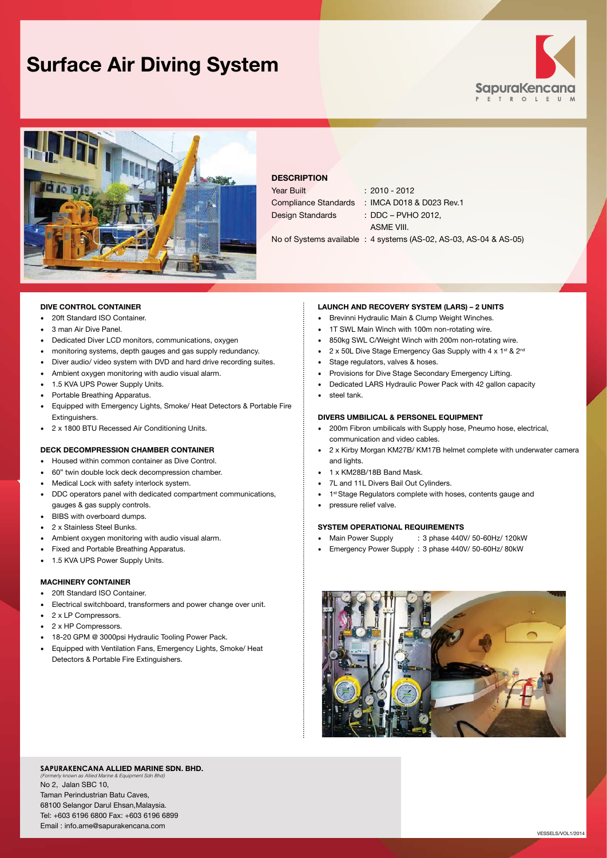# **Surface Air Diving System**





# **DESCRIPTION**

| Year Built              | $: 2010 - 2012$          |
|-------------------------|--------------------------|
| Compliance Standards    | : IMCA D018 & D023 Rev.1 |
| <b>Design Standards</b> | : DDC – PVHO 2012.       |
|                         | ASME VIII.               |

No of Systems available : 4 systems (AS-02, AS-03, AS-04 & AS-05)

### **DIVE CONTROL CONTAINER**

- • 20ft Standard ISO Container.
- 3 man Air Dive Panel.
- • Dedicated Diver LCD monitors, communications, oxygen
- • monitoring systems, depth gauges and gas supply redundancy.
- Diver audio/ video system with DVD and hard drive recording suites.
- • Ambient oxygen monitoring with audio visual alarm.
- 1.5 KVA UPS Power Supply Units.
- • Portable Breathing Apparatus.
- Equipped with Emergency Lights, Smoke/ Heat Detectors & Portable Fire Extinguishers.
- • 2 x 1800 BTU Recessed Air Conditioning Units.

# **DECK DECOMPRESSION CHAMBER CONTAINER**

- Housed within common container as Dive Control.
- 60" twin double lock deck decompression chamber.
- Medical Lock with safety interlock system.
- • DDC operators panel with dedicated compartment communications, gauges & gas supply controls.
- • BIBS with overboard dumps.
- • 2 x Stainless Steel Bunks.
- Ambient oxygen monitoring with audio visual alarm.
- Fixed and Portable Breathing Apparatus.
- 1.5 KVA UPS Power Supply Units.

# **MACHINERY CONTAINER**

- 20ft Standard ISO Container
- Electrical switchboard, transformers and power change over unit.
- • 2 x LP Compressors.
- 2 x HP Compressors.
- 18-20 GPM @ 3000psi Hydraulic Tooling Power Pack.
- • Equipped with Ventilation Fans, Emergency Lights, Smoke/ Heat Detectors & Portable Fire Extinguishers.

#### **LAUNCH AND RECOVERY SYSTEM (LARS) – 2 UNITS**

- Brevinni Hydraulic Main & Clump Weight Winches.
- 1T SWL Main Winch with 100m non-rotating wire.
- • 850kg SWL C/Weight Winch with 200m non-rotating wire.
- $2 \times 50$ L Dive Stage Emergency Gas Supply with  $4 \times 1^{st}$  &  $2^{nd}$
- Stage regulators, valves & hoses.
- Provisions for Dive Stage Secondary Emergency Lifting.
- Dedicated LARS Hydraulic Power Pack with 42 gallon capacity
- steel tank.

#### **DIVERS UMBILICAL & PERSONEL EQUIPMENT**

- 200m Fibron umbilicals with Supply hose, Pneumo hose, electrical, communication and video cables.
- • 2 x Kirby Morgan KM27B/ KM17B helmet complete with underwater camera and lights.
- • 1 x KM28B/18B Band Mask.
- 7L and 11L Divers Bail Out Cylinders.
- 1<sup>st</sup> Stage Regulators complete with hoses, contents gauge and
- pressure relief valve.

# **SYSTEM OPERATIONAL REQUIREMENTS**

- Main Power Supply : 3 phase 440V/ 50-60Hz/ 120kW
- Emergency Power Supply : 3 phase 440V/ 50-60Hz/ 80kW



#### **SapuraKencana Allied Marine Sdn. Bhd.**

*(Formerly known as Allied Marine & Equipment Sdn Bhd)* No 2, Jalan SBC 10, Taman Perindustrian Batu Caves, 68100 Selangor Darul Ehsan,Malaysia. Tel: +603 6196 6800 Fax: +603 6196 6899 Email : info.ame@sapurakencana.com